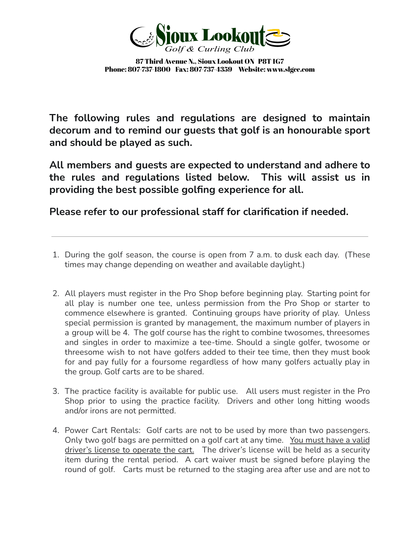

**The following rules and regulations are designed to maintain decorum and to remind our guests that golf is an honourable sport and should be played as such.**

**All members and guests are expected to understand and adhere to the rules and regulations listed below. This will assist us in providing the best possible golfing experience for all.**

**Please refer to our professional staff for clarification if needed.**

- 1. During the golf season, the course is open from 7 a.m. to dusk each day. (These times may change depending on weather and available daylight.)
- 2. All players must register in the Pro Shop before beginning play. Starting point for all play is number one tee, unless permission from the Pro Shop or starter to commence elsewhere is granted. Continuing groups have priority of play. Unless special permission is granted by management, the maximum number of players in a group will be 4. The golf course has the right to combine twosomes, threesomes and singles in order to maximize a tee-time. Should a single golfer, twosome or threesome wish to not have golfers added to their tee time, then they must book for and pay fully for a foursome regardless of how many golfers actually play in the group. Golf carts are to be shared.
- 3. The practice facility is available for public use. All users must register in the Pro Shop prior to using the practice facility. Drivers and other long hitting woods and/or irons are not permitted.
- 4. Power Cart Rentals: Golf carts are not to be used by more than two passengers. Only two golf bags are permitted on a golf cart at any time. You must have a valid driver's license to operate the cart. The driver's license will be held as a security item during the rental period. A cart waiver must be signed before playing the round of golf. Carts must be returned to the staging area after use and are not to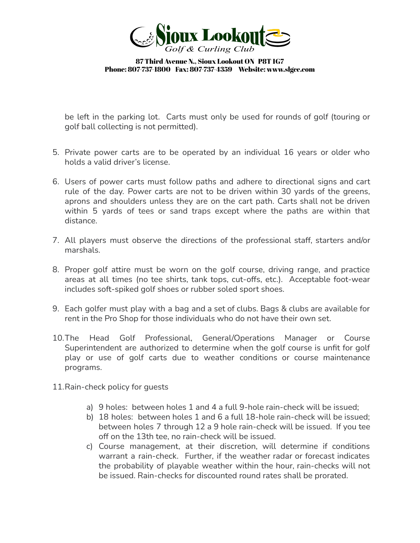

be left in the parking lot. Carts must only be used for rounds of golf (touring or golf ball collecting is not permitted).

- 5. Private power carts are to be operated by an individual 16 years or older who holds a valid driver's license.
- 6. Users of power carts must follow paths and adhere to directional signs and cart rule of the day. Power carts are not to be driven within 30 yards of the greens, aprons and shoulders unless they are on the cart path. Carts shall not be driven within 5 yards of tees or sand traps except where the paths are within that distance.
- 7. All players must observe the directions of the professional staff, starters and/or marshals.
- 8. Proper golf attire must be worn on the golf course, driving range, and practice areas at all times (no tee shirts, tank tops, cut-offs, etc.). Acceptable foot-wear includes soft-spiked golf shoes or rubber soled sport shoes.
- 9. Each golfer must play with a bag and a set of clubs. Bags & clubs are available for rent in the Pro Shop for those individuals who do not have their own set.
- 10.The Head Golf Professional, General/Operations Manager or Course Superintendent are authorized to determine when the golf course is unfit for golf play or use of golf carts due to weather conditions or course maintenance programs.
- 11.Rain-check policy for guests
	- a) 9 holes: between holes 1 and 4 a full 9-hole rain-check will be issued;
	- b) 18 holes: between holes 1 and 6 a full 18-hole rain-check will be issued; between holes 7 through 12 a 9 hole rain-check will be issued. If you tee off on the 13th tee, no rain-check will be issued.
	- c) Course management, at their discretion, will determine if conditions warrant a rain-check. Further, if the weather radar or forecast indicates the probability of playable weather within the hour, rain-checks will not be issued. Rain-checks for discounted round rates shall be prorated.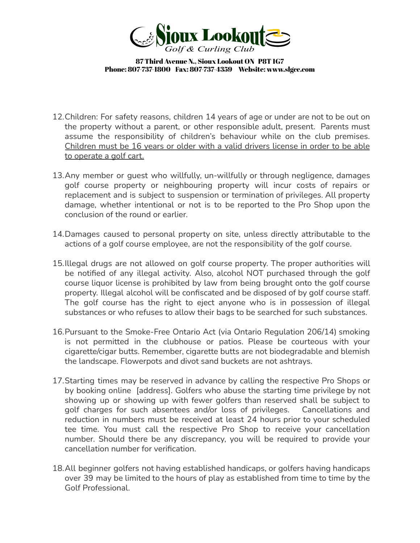

- 12.Children: For safety reasons, children 14 years of age or under are not to be out on the property without a parent, or other responsible adult, present. Parents must assume the responsibility of children's behaviour while on the club premises. Children must be 16 years or older with a valid drivers license in order to be able to operate a golf cart.
- 13.Any member or guest who willfully, un-willfully or through negligence, damages golf course property or neighbouring property will incur costs of repairs or replacement and is subject to suspension or termination of privileges. All property damage, whether intentional or not is to be reported to the Pro Shop upon the conclusion of the round or earlier.
- 14.Damages caused to personal property on site, unless directly attributable to the actions of a golf course employee, are not the responsibility of the golf course.
- 15.Illegal drugs are not allowed on golf course property. The proper authorities will be notified of any illegal activity. Also, alcohol NOT purchased through the golf course liquor license is prohibited by law from being brought onto the golf course property. Illegal alcohol will be confiscated and be disposed of by golf course staff. The golf course has the right to eject anyone who is in possession of illegal substances or who refuses to allow their bags to be searched for such substances.
- 16.Pursuant to the Smoke-Free Ontario Act (via Ontario Regulation 206/14) smoking is not permitted in the clubhouse or patios. Please be courteous with your cigarette/cigar butts. Remember, cigarette butts are not biodegradable and blemish the landscape. Flowerpots and divot sand buckets are not ashtrays.
- 17.Starting times may be reserved in advance by calling the respective Pro Shops or by booking online [address]. Golfers who abuse the starting time privilege by not showing up or showing up with fewer golfers than reserved shall be subject to golf charges for such absentees and/or loss of privileges. Cancellations and reduction in numbers must be received at least 24 hours prior to your scheduled tee time. You must call the respective Pro Shop to receive your cancellation number. Should there be any discrepancy, you will be required to provide your cancellation number for verification.
- 18.All beginner golfers not having established handicaps, or golfers having handicaps over 39 may be limited to the hours of play as established from time to time by the Golf Professional.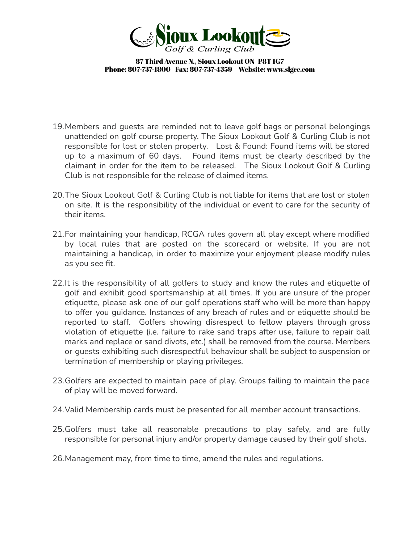

- 19.Members and guests are reminded not to leave golf bags or personal belongings unattended on golf course property. The Sioux Lookout Golf & Curling Club is not responsible for lost or stolen property. Lost & Found: Found items will be stored up to a maximum of 60 days. Found items must be clearly described by the claimant in order for the item to be released. The Sioux Lookout Golf & Curling Club is not responsible for the release of claimed items.
- 20.The Sioux Lookout Golf & Curling Club is not liable for items that are lost or stolen on site. It is the responsibility of the individual or event to care for the security of their items.
- 21.For maintaining your handicap, RCGA rules govern all play except where modified by local rules that are posted on the scorecard or website. If you are not maintaining a handicap, in order to maximize your enjoyment please modify rules as you see fit.
- 22. It is the responsibility of all golfers to study and know the rules and etiquette of golf and exhibit good sportsmanship at all times. If you are unsure of the proper etiquette, please ask one of our golf operations staff who will be more than happy to offer you guidance. Instances of any breach of rules and or etiquette should be reported to staff. Golfers showing disrespect to fellow players through gross violation of etiquette (i.e. failure to rake sand traps after use, failure to repair ball marks and replace or sand divots, etc.) shall be removed from the course. Members or guests exhibiting such disrespectful behaviour shall be subject to suspension or termination of membership or playing privileges.
- 23.Golfers are expected to maintain pace of play. Groups failing to maintain the pace of play will be moved forward.
- 24.Valid Membership cards must be presented for all member account transactions.
- 25.Golfers must take all reasonable precautions to play safely, and are fully responsible for personal injury and/or property damage caused by their golf shots.
- 26.Management may, from time to time, amend the rules and regulations.